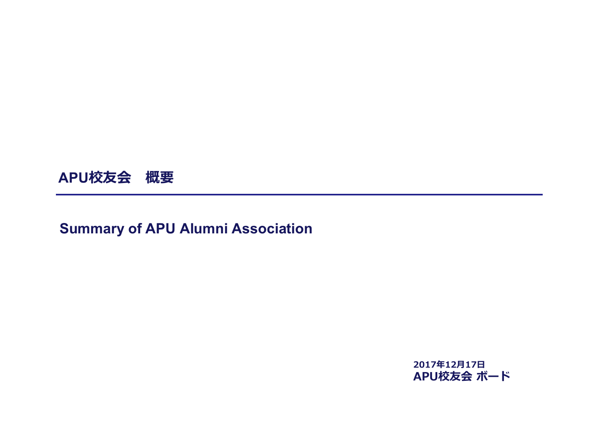

# **Summary of APU Alumni Association**

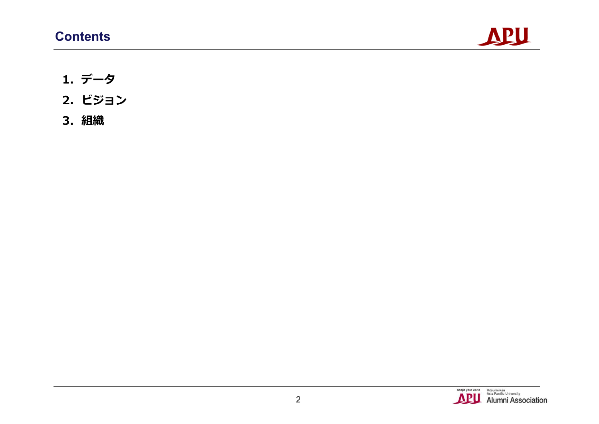

- **1. データ**
- **2. ビジョン**
- **3. 組織**

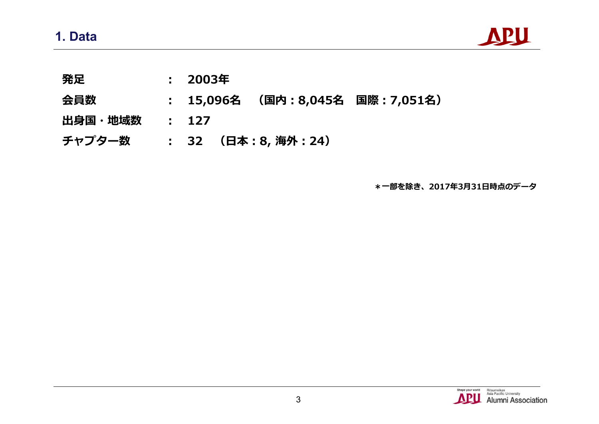

- **発足 : 2003年**
- **会員数 : 15,096名 (国内:8,045名 国際:7,051名)**
- **出身国・地域数 : 127**
- **チャプター数 : 32 (日本:8, 海外:24)**

**\*一部を除き、2017年3月31日時点のデータ**

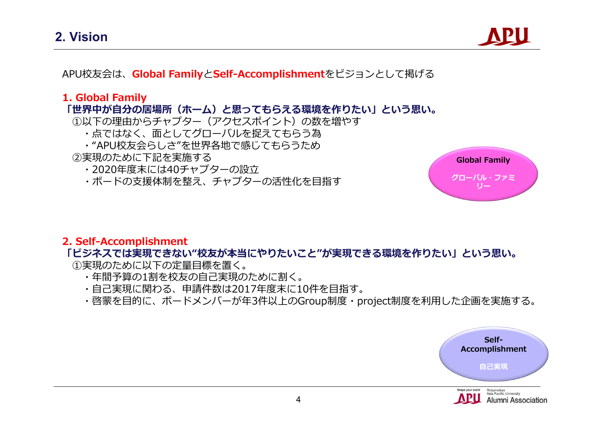

APU校友会は、**Global Family**と**Self-Accomplishment**をビジョンとして掲げる

#### **1. Global Family**

#### **「世界中が自分の居場所(ホーム)と思ってもらえる環境を作りたい」という思い。**

- ①以下の理由からチャプター(アクセスポイント)の数を増やす
	- ・点ではなく、面としてグローバルを捉えてもらう為
	- ・"APU校友会らしさ"を世界各地で感じてもらうため

#### ②実現のために下記を実施する

- ・2020年度末には40チャプターの設立
- ・ボードの支援体制を整え、チャプターの活性化を目指す



#### **2. Self-Accomplishment**

#### **「ビジネスでは実現できない"校友が本当にやりたいこと"が実現できる環境を作りたい」という思い。**

①実現のために以下の定量目標を置く。

- ・年間予算の1割を校友の自己実現のために割く。
- ・自己実現に関わる、申請件数は2017年度末に10件を目指す。
- ・啓蒙を目的に、ボードメンバーが年3件以上のGroup制度・project制度を利用した企画を実施する。

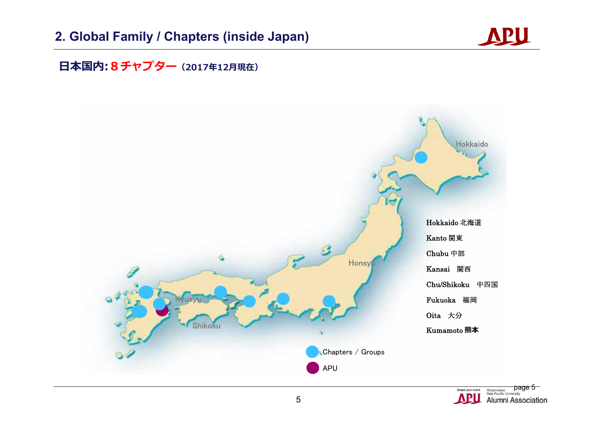# **2. Global Family / Chapters (inside Japan)**



## **日本国内:8チャプター(2017年12月現在)**



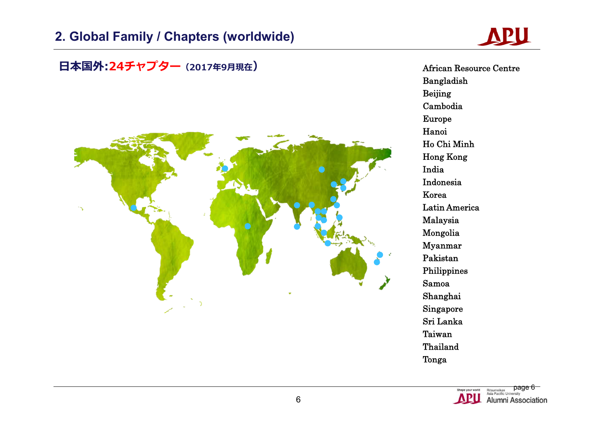## **2. Global Family / Chapters (worldwide)**

# **APU**

日本国外:24チャプター(2017年9月現在)<br>
African Resource Centre Bangladish Beijing Cambodia Europe Hanoi Ho Chi Minh Hong Kong India Indonesia Korea Latin America Malaysia Mongolia Myanmar Pakistan Philippines Samoa Shanghai Singapore Sri Lanka Taiwan Thailand Tonga

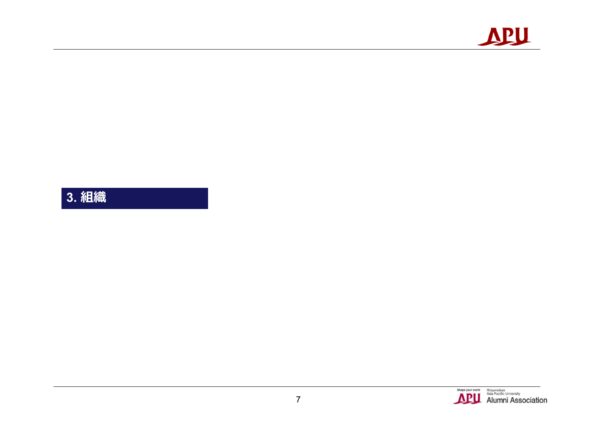

**3. 組織**

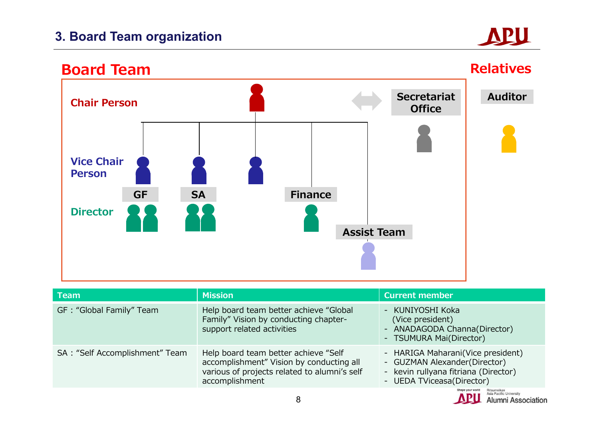# **3. Board Team organization**

# APU



| <b>Team</b>                    | <b>Mission</b>                                                                                                                                     | <b>Current member</b>                                                                                                                   |
|--------------------------------|----------------------------------------------------------------------------------------------------------------------------------------------------|-----------------------------------------------------------------------------------------------------------------------------------------|
| GF: "Global Family" Team       | Help board team better achieve "Global<br>Family" Vision by conducting chapter-<br>support related activities                                      | - KUNIYOSHI Koka<br>(Vice president)<br>- ANADAGODA Channa(Director)<br>- TSUMURA Mai(Director)                                         |
| SA: "Self Accomplishment" Team | Help board team better achieve "Self<br>accomplishment" Vision by conducting all<br>various of projects related to alumni's self<br>accomplishment | - HARIGA Maharani(Vice president)<br>- GUZMAN Alexander(Director)<br>- kevin rullyana fitriana (Director)<br>- UEDA TViceasa (Director) |

![](_page_7_Picture_4.jpeg)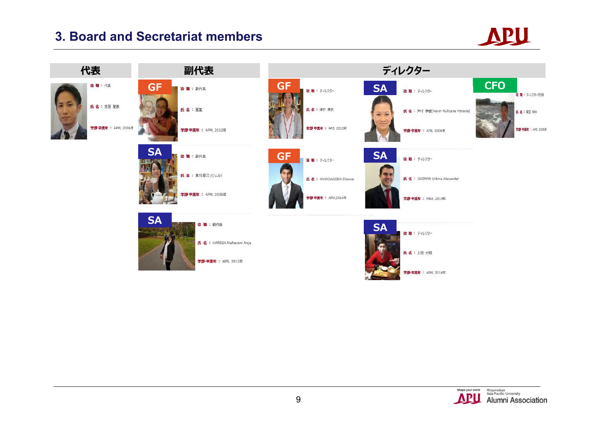## **3. Board and Secretariat members**

![](_page_8_Picture_1.jpeg)

![](_page_8_Picture_2.jpeg)

![](_page_8_Picture_3.jpeg)